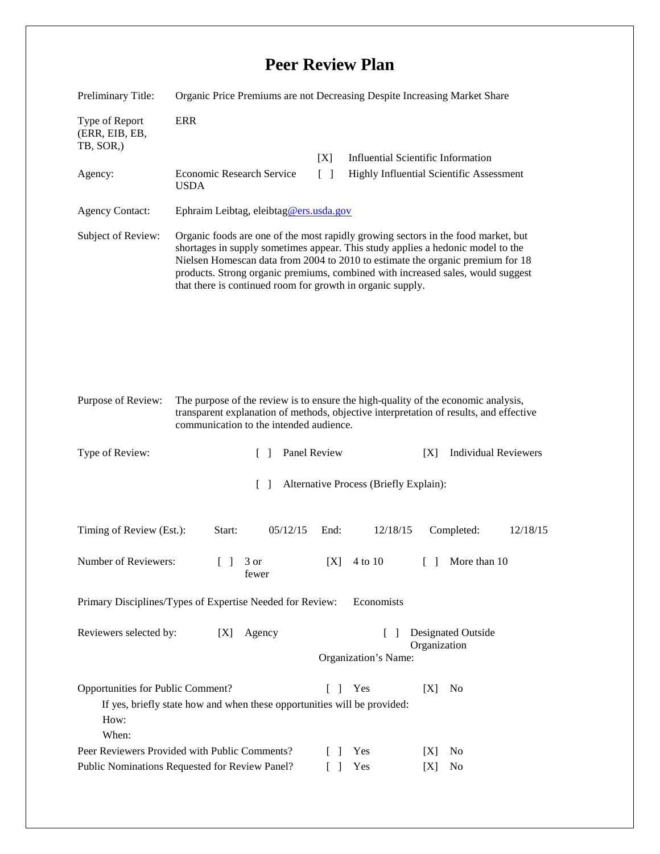## **Peer Review Plan**

| Preliminary Title:                                                                              | Organic Price Premiums are not Decreasing Despite Increasing Market Share                                                                                                                                                                                                                                                                                                                               |                           |                                           |                                           |          |
|-------------------------------------------------------------------------------------------------|---------------------------------------------------------------------------------------------------------------------------------------------------------------------------------------------------------------------------------------------------------------------------------------------------------------------------------------------------------------------------------------------------------|---------------------------|-------------------------------------------|-------------------------------------------|----------|
| Type of Report<br>(ERR, EIB, EB,<br>TB, SOR,)                                                   | <b>ERR</b>                                                                                                                                                                                                                                                                                                                                                                                              |                           |                                           |                                           |          |
| Agency:                                                                                         | Economic Research Service<br><b>USDA</b>                                                                                                                                                                                                                                                                                                                                                                | [X]<br>$\lceil \; \rceil$ | <b>Influential Scientific Information</b> | Highly Influential Scientific Assessment  |          |
| <b>Agency Contact:</b>                                                                          | Ephraim Leibtag, eleibtag@ers.usda.gov                                                                                                                                                                                                                                                                                                                                                                  |                           |                                           |                                           |          |
| Subject of Review:                                                                              | Organic foods are one of the most rapidly growing sectors in the food market, but<br>shortages in supply sometimes appear. This study applies a hedonic model to the<br>Nielsen Homescan data from 2004 to 2010 to estimate the organic premium for 18<br>products. Strong organic premiums, combined with increased sales, would suggest<br>that there is continued room for growth in organic supply. |                           |                                           |                                           |          |
| Purpose of Review:                                                                              | The purpose of the review is to ensure the high-quality of the economic analysis,<br>transparent explanation of methods, objective interpretation of results, and effective<br>communication to the intended audience.                                                                                                                                                                                  |                           |                                           |                                           |          |
| Type of Review:                                                                                 | $\Box$                                                                                                                                                                                                                                                                                                                                                                                                  | Panel Review              |                                           | <b>Individual Reviewers</b><br>[X]        |          |
| $\Box$<br>Alternative Process (Briefly Explain):                                                |                                                                                                                                                                                                                                                                                                                                                                                                         |                           |                                           |                                           |          |
| Timing of Review (Est.):                                                                        | Start:                                                                                                                                                                                                                                                                                                                                                                                                  | 05/12/15<br>End:          | 12/18/15                                  | Completed:                                | 12/18/15 |
| Number of Reviewers:                                                                            | $\begin{bmatrix} 1 & 3 \end{bmatrix}$<br>fewer                                                                                                                                                                                                                                                                                                                                                          | [X]                       | 4 to 10                                   | More than 10<br>$[\ ]$                    |          |
|                                                                                                 | Primary Disciplines/Types of Expertise Needed for Review:                                                                                                                                                                                                                                                                                                                                               |                           | Economists                                |                                           |          |
| Reviewers selected by:                                                                          | Agency<br>[X]                                                                                                                                                                                                                                                                                                                                                                                           |                           | $\Box$<br>Organization's Name:            | <b>Designated Outside</b><br>Organization |          |
| Opportunities for Public Comment?<br>How:<br>When:                                              | If yes, briefly state how and when these opportunities will be provided:                                                                                                                                                                                                                                                                                                                                | L<br>$\mathbf{I}$         | Yes                                       | N <sub>0</sub><br>[X]                     |          |
| Peer Reviewers Provided with Public Comments?<br>Public Nominations Requested for Review Panel? |                                                                                                                                                                                                                                                                                                                                                                                                         |                           | Yes<br>Yes                                | N <sub>0</sub><br>[X]<br>No<br>[X]        |          |